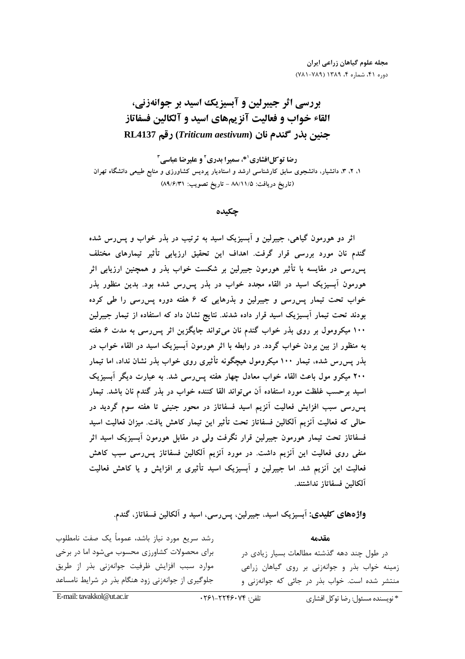مجله علوم گیاهان زراعی ایران دوره ۴۱، شماره ۴، ۱۳۸۹ (۷۸۹-۷۸۱)

# بررسي اثر جيبرلين و آبسيزيك اسيد بر جوانهزني، القاء خواب و فعالیت آنزیمهای اسید و آلکالین فسفاتاز حنبن بذر كندم نان (Triticum aestivum) رقم RL4137

رضا توكل افشاري<sup>10</sup>، سميرا بدري<sup>2</sup> و عليرضا عباسي<sup>1</sup> ۱، ۲، ۳، دانشیار، دانشجوی سابق کارشناسی ارشد و استادیار پردیس کشاورزی و منابع طبیعی دانشگاه تهران (تاريخ دريافت: ٨٨/١١/٥ - تاريخ تصويب: ٨٩/٤/٣١)

### چکیده

اثر دو هورمون گیاهی، جیبرلین و آبسیزیک اسید به ترتیب در بذر خواب و پس رس شده گندم نان مورد بررسی قرار گرفت. اهداف این تحقیق ارزیابی تأثیر تیمارهای مختلف پس رسی در مقایسه با تأثیر هورمون جیبرلین بر شکست خواب بذر و همچنین ارزیابی اثر هورمون آبسیزیک اسید در القاء مجدد خواب در بذر پس رس شده بود. بدین منظور بذر خواب تحت تیمار پس رسی و جیبرلین و بذرهایی که ۶ هفته دوره پس رسی را طی کرده بودند تحت تیمار آبسیزیک اسید قرار داده شدند. نتایج نشان داد که استفاده از تیمار جیبرلین ۱۰۰ میکرومول بر روی بذر خواب گندم نان میتواند جایگزین اثر پس رسی به مدت ۶ هفته به منظور از بین بردن خواب گردد. در رابطه با اثر هورمون آبسیزیک اسید در القاء خواب در بذر پس رس شده، تیمار ۱۰۰ میکرومول هیچگونه تأثیری روی خواب بذر نشان نداد، اما تیمار ۲۰۰ میکرو مول باعث القاء خواب معادل چهار هفته پسررسی شد. به عبارت دیگر آبسیزیک اسید برحسب غلظت مورد استفاده آن میٍ تواند القا کننده خواب در بذر گندم نان باشد. تیمار پسررسی سبب افزایش فعالیت آنزیم اسید فسفاتاز در محور جنینی تا هفته سوم گردید در حالی که فعالیت آنزیم آلکالین فسفاتاز تحت تأثیر این تیمار کاهش یافت. میزان فعالیت اسید فسفاتاز تحت تیمار هورمون جیبرلین قرار نگرفت ولی در مقابل هورمون اَبسیزیک اسید اثر منفی روی فعالیت این آنزیم داشت. در مورد آنزیم آلکالین فسفاتاز پس رسی سبب کاهش فعالیت این آنزیم شد. اما جیبرلین و آبسیزیک اسید تأثیری بر افزایش و یا کاهش فعالیت آلكالين فسفاتاز نداشتند.

واژههای کلیدی: آبسیزیک اسید، جیبرلین، پس رسی، اسید و آلکالین فسفاتاز، گندم.

رشد سریع مورد نیاز باشد، عموماً یک صفت نامطلوب مقدمه برای محصولات کشاورزی محسوب میشود اما در برخی در طول چند دهه گذشته مطالعات بسیار زیادی در موارد سبب افزایش ظرفیت جوانهزنی بذر از طریق زمینه خواب بذر و جوانهزنی بر روی گیاهان زراعی جلوگیری از جوانهزنی زود هنگام بذر در شرایط نامساعد منتشر شده است. خواب بذر در جائی که جوانهزنی و

E-mail: tavakkol@ut ac in

#### تلفن: ۲۲۴۶۰۷۴-۲۶۱-۰۲۶۱

\* نويسنده مسئول: رضا توكل افشاري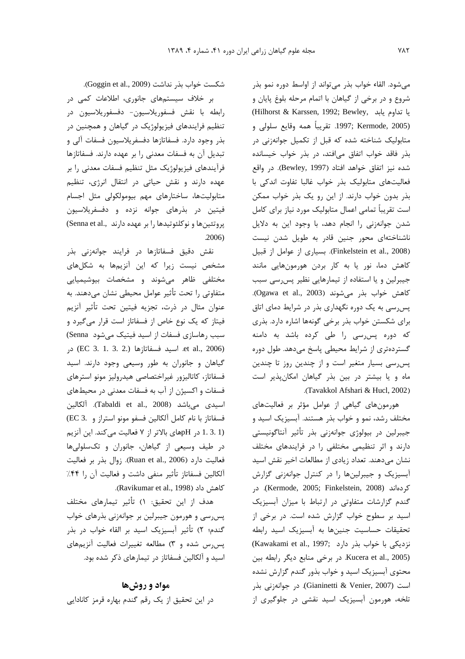م شود. القاء خواب بذر م تواند از اواسط دوره نمو بذر شوع و در برخې از گياهان با اتمام مرحله بلوغ بابان و يا تداوم يابد , Hilhorst & Karssen, 1992; Bewley) ر 1997; Kermode, 2005. تقريباً همه وقايع سلولي و متابولیک شناخته شده که قبل از تکمیل جوانهزنی در .<br>بدر فاقد خواب اتفاق میافتد، در بدر خواب خیسانده شده نيز اتفاق خواهد افتاد (Bewley, 1997). در واقع .<br>فعالیتهای متابولیک بذر خواب غالبا تفاوت اندکی با ند. بدون خواب دارند. از این رو یک بدر خواب ممکن است تقریباً تمامی اعمال متابولیک مورد نیاز برا*ی* کامل شدن جوانه:نی را انجام دهد، با وجود این به دلایل .<br>ناشناختهای محور حنین قادر به طویل شدن نیست .<br>(Finkelstein et al., 2008). بسیاری از عوامل از قبیل کاهش دما، نور با به کار بردن هورمونهایی مانند .<br>ن حیدلین و با استفاده از تیمارهایی نظیر پس رسی سبب كاهش خواب بذر مي شوند (Ogawa et al., 2003). سی سی به یک دوره نگهدار*ی ب*ذر در شرایط دما*ی* اتاق رای شکستن خواب بذر برخی گونهها اشاره دارد. بذری كه دوره پس رسى را طى كرده باشد به دامنه گسترده ی ی از شرایط محیطی باسخ مردهد. طول دوره پس رسی بسیار متغیر است و از چندین روز تا چندین ماه و یا بیشتر در بین بذر گیاهان امکانپذیر است .(Tavakkol Afshari & Hucl, 2002)

هورمونها*ی* گیاهی از عوامل مؤثر بر فعالیتها*ی* مختلف ، شد، نمو و خواب بذر هستند. آبسیزیک اسید و حیبالین در سولوژی جوانهزنی بذر تأثیر آنتاگونیستی دارند و اثر تنظیمی مختلفی را در فرایندهای مختلف .<br>نشان مردهند. تعداد زبادی از مطالعات اخیر نقش اسید .<br>آبستایک و حیدلینها را در کنتال جوانهزنی گزارش كردهاند (Kermode, 2005; Finkelstein, 2008). در گندم گزارشات متفاوتی در ارتباط با میزان آبسیزیک اسید بر سطوح خواب گزارش شده است. در برخ*ت* از تحقيقات حساسيت جنينها به آبسيزيک اسيد رابطه .<br>نزدیکی با خواب بذر دارد (Kawakami et al., 1997; ) در برخی منابع دیگر رابطه بین Kucera et al., 2005) محتوی آبسیزیک اسید و خواب بذور گندم گزارش نشده است (Gianinetti & Venier, 2007). در جوانەزنى بذر .<br>تلخه، هورمون آبسیزیک اسید نقشی در حلوگیری از

شكست خواب بذر نداشت (Goggin et al., 2009).

ر خلاف سیستمها*ی* جانوری، اطلاعات کمی در .<br>ذ .<br>رابطه با نقش فسفوربلاسيون دفسفوربلاسيون در .<br>تنظیم فرایندهای فیزیولوژیک در گیاهان و همچنین در رن. وجود دارد. فسفاتا:ها دفسف بلاسيون فسفات آلي و تبديل آن به فسفات معدني را بر عهده دارند. فسفاتا:ها فرآیندهای فیزیولوژیک مثل تنظیم فسفات معدنی را ب .<br>عهده دارند و نقش جباتي در انتقال انر*زي* تنظيم متابوليتها، ساختارهاي مهم بيومولكولي مثل إحسام .<br>فيتبن هن بذرها*ي ج*وانه ننده و دفسفرلاسيون .<br>پروتئینها و نوکلئوتیدها را بر عهده دارند ,Senna et al .<br>ذ .2006)

.<br>نقش دقیق فسفاتازها در فرایند جوانهزن*ی* بذر مشخص نیست زدا که این آنزیهها به شکا های .<br>مختلف ظاهر مرشوند و مشخصات بیوشیمیایی متفاوتی را تحت تأثیر عوامل محیطی نشان مردهند. به عنوان مثال در ذرت، تجزيه فيتبن تحت تأثير آنزيم .<br>فیتا: که یک نوع خاص از فسفاتا: است قرار م*ی گ*یرد و j سبب رهاسازی فسفات از اسید فیتیک می شود Senna) et al., 2006). اسيد فسفاتازها (EC 3. 1. 3. 2.) در گياهان و جانوران به طور وسيعي وجود دارند. اسيد <u>:</u> .<br>فسفاتا:، كاتاليزو، غيراختصاصي هيد،وليز مونو استرها*ي* <u>:</u> فسفات و اکستن از آب به فسفات معدنی در محیطهای اسيدى مىباشد (Tabaldi et al., 2008). آلكالين .<br>فسفاتاز با نام كامل آلكالين فسفو مونو استراز و .3 EC) .<br>ذ epH در pHهای بالاتر از ۷ فعالیت میکند. این آنزیم $\rm{H}$  در د. طبف وسیعی از گیاهان، جانوران و تکسلولیها .<br>ن فعاليت دارد (Ruan et al., 2006). زوال بذر بر فعاليت آلكالين فسفاتاز تأثير منفى داشت و فعاليت آن را ۴۴٪ .(Ravikumar et al., 1998).

هدف از این تحقیق: ۱) تأثیر تیمارهای مختلف سن، سي و هو، مون حيث لبن بر حوانه: ني بذرهاي خواب گندم؛ ۲) تأثیر آبسنایک اسید بر القاء خواب در بذر سررس شده و ۳) مطالعه تغییرات فعالیت آنزیههای .<br>اسید و آلکالین فسفاتا: در تیمارها*ی* ذکر شده بود.

### مواد و روشها د. ابن تحقیق از یک رقم گندم بهاره قرمز کانادایی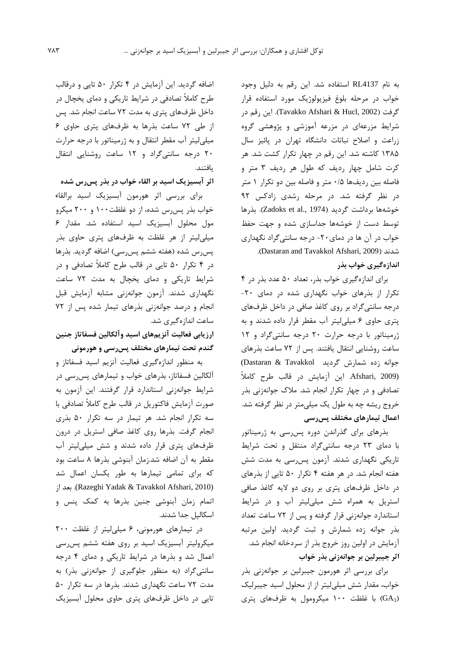به نام RL4137 استفاده شد. این رقم به دلیل وجود خواب در مرحله بلوغ فيزيولوژيک مورد استفاده قرار گرفت (Tavakko Afshari & Hucl, 2002). این رقم در شرایط مزرعهای در مزرعه آموزشی و پژوهشی گروه زراعت و اصلاح نباتات دانشگاه تهران در پائيز سال ۱۳۸۵ کاشته شد. این رقم در چهار تکرار کشت شد. هر کرت شامل چهار ردیف که طول هر ردیف ۳ متر و فاصله بین ردیفها ۰/۵ متر و فاصله بین دو تکرار ۱ متر در نظر گرفته شد. در مرحله رشدی زادکس ۹۲ خوشەھا برداشت گرديد (Zadoks et al., 1974). بذرها توسط دست از خوشهها جداسازی شده و جهت حفظ خواب در آن ها در دمای ۲۰- درجه سانتی گراد نگهداری .(Dastaran and Tavakkol Afshari, 2009).

اندازهگیری خواب بذر

برای اندازهگیری خواب بذر، تعداد ۵۰ عدد بذر در ۴ تکرار از بذرهای خواب نگهداری شده در دمای ۲۰-درجه سانتی گراد بر روی کاغذ صافی در داخل ظرفهای یتری حاوی ۶ میلی لیتر آب مقطر قرار داده شدند و به ژرمیناتور با درجه حرارت ٢٠ درجه سانتی گراد و ١٢ ساعت روشنایی انتقال یافتند. پس از ۷۲ ساعت بذرهای جوانه زده شمارش گردید Dastaran & Tavakkol) Afshari, 2009). اين آزمايش در قالب طرح كاملاً تصادفی و در چهار تکرار انجام شد. ملاک جوانهزنی بذر خروج ریشه چه به طول یک میلیمتر در نظر گرفته شد. اعمال تیمارهای مختلف پسررسی

بذرهای برای گذراندن دوره پس رسی به ژرمیناتور با دمای ٢٣ درجه سانتیگراد منتقل و تحت شرایط تاریکی نگهداری شدند. آزمون پس رسی به مدت شش هفته انجام شد. در هر هفته ۴ تکرار ۵۰ تایی از بذرهای در داخل ظرفهای پتری بر روی دو لایه کاغذ صافی استریل به همراه شش میلی لیتر آب و در شرایط استاندارد جوانهزنی قرار گرفته و پس از ٧٢ ساعت تعداد بذر جوانه زده شمارش و ثبت گردید. اولین مرتبه آزمایش در اولین روز خروج بذر از سردخانه انجام شد. اثر جیبرلین بر جوانهزنی بذر خواب

برای بررسی اثر هورمون جیبرلین بر جوانهزنی بذر خواب، مقدار شش میلی لیتر از از محلول اسید جیبرلیک (GA3) با غلظت ۱۰۰ میکرومول به ظرفهای پتری

اضافه گردید. این آزمایش در ۴ تکرار ۵۰ تایی و درقالب طرح کاملاً تصادفی در شرایط تاریکی و دمای پخچال در داخل ظرفهای پتری به مدت ۷۲ ساعت انجام شد. پس از طی ٧٢ ساعت بذرها به ظرفهای پتری حاوی ۶ میلی لیتر آب مقطر انتقال و به ژرمیناتور با درجه حرارت ۲۰ درجه سانتی گراد و ۱۲ ساعت روشنایی انتقال يافتند.

اثر آبسیزیک اسید بر القاء خواب در بذر پسررس شده

برای بررسی اثر هورمون آبسیزیک اسید برالقاء خواب بذر پس رس شده، از دو غلظت ۱۰۰ و ۲۰۰ میکرو مول محلول آبسیزیک اسید استفاده شد. مقدار ۶ میلی لیتر از هر غلظت به ظرفهای پتری حاوی بذر پسرس شده (هفته ششم پسرسی) اضافه گردید. بذرها در ۴ تکرار ۵۰ تایی در قالب طرح کاملاً تصادفی و در شرایط تاریکی و دمای یخچال به مدت ۷۲ ساعت نگهداری شدند. آزمون جوانهزنی مشابه آزمایش قبل انجام و درصد جوانهزنی بذرهای تیمار شده پس از ٧٢ ساعت اندازهگیری شد.

ارزيابي فعاليت آنزيمهاي اسيد وآلكالين فسفاتاز جنين گندم تحت تیمارهای مختلف پس رسی و هورمونی

به منظور اندازهگیری فعالیت آنزیم اسید فسفاتاز و آلکالین فسفاتاز، بذرهای خواب و تیمارهای پس رسی در شرایط جوانهزنی استاندارد قرار گرفتند. این آزمون به صورت آزمایش فاکتوریل در قالب طرح کاملاً تصادفی با سه تکرار انجام شد. هر تیمار در سه تکرار ۵۰ بذری انجام گرفت. بذرها روی کاغذ صافی استریل در درون ظرفهای پتری قرار داده شدند و شش میلی لیتر آب مقطر به آن اضافه شد.زمان آبنوشی بذرها ۸ ساعت بود که برای تمامی تیمارها به طور یکسان اعمال شد (Razeghi Yadak & Tavakkol Afshari, 2010). بعد از اتمام زمان آبنوشی جنین بذرها به کمک پنس و اسکالیل جدا شدند.

در تیمارهای هورمونی، ۶ میلی لیتر از غلظت ۲۰۰ میکرولیتر آبسیزیک اسید بر روی هفته ششم پس رسی اعمال شد و بذرها در شرایط تاریکی و دمای ۴ درجه سانتی گراد (به منظور جلوگیری از جوانهزنی بذر) به مدت ۷۲ ساعت نگهداری شدند. بذرها در سه تکرار ۵۰ تایی در داخل ظرفهای پتری حاوی محلول آبسیزیک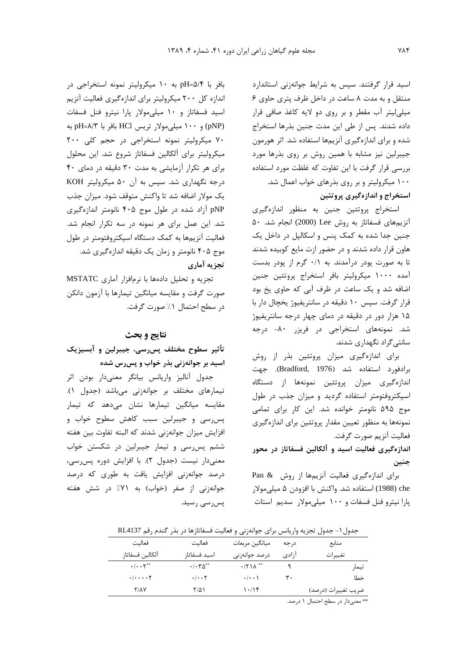اسید قرار گرفتند. سیس به شرایط جوانهزنی استاندارد منتقل و به مدت ۸ ساعت در داخل ظرف پتری حاوی ۶ میلی لیتر آب مقطر و بر روی دو لایه کاغذ صافی قرار داده شدند. پس از طی این مدت جنین بذرها استخراج شده و برای اندازهگیری آنزیمها استفاده شد. اثر هورمون جیبرلین نیز مشابه با همین روش بر روی بذرها مورد بررسی قرار گرفت با این تفاوت که غلظت مورد استفاده ۱۰۰ میکرولیتر و بر روی بذرهای خواب اعمال شد. استخراج و اندازهگیری پروتئین

استخراج پروتئین جنین به منظور اندازهگیری آنزیمهای فسفاتاز به روش Lee (2000) انجام شد. ۵۰ جنین جدا شده به کمک پنس و اسکالیل در داخل یک هاون قرار داده شدند و در حضور ازت مایع کوبیده شدند تا به صورت یودر درآمدند. به ۰/۱ گرم از یودر بدست آمده ١٠٠٠ ميكروليتر بافر استخراج پروتئين جنين اضافه شد و یک ساعت در ظرف آبی که حاوی یخ بود قرار گرفت. سپس ١٠ دقيقه در سانتريفيوژ يخچال دار با ۱۵ هزار دور در دقیقه در دمای چهار درجه سانتریفیوژ شد. نمونههای استخراجی در فریزر ۸۰- درجه سانتیگراد نگهداری شدند.

برای اندازهگیری میزان پروتئین بذر از روش برادفورد استفاده شد (Bradford, 1976). جهت اندازهگیری میزان پروتئین نمونهها از دستگاه اسیکتروفتومتر استفاده گردید و میزان جذب در طول موج ۵۹۵ نانومتر خوانده شد. این کار برای تمامی نمونهها به منظور تعیین مقدار پروتئین برای اندازهگیری فعاليت آنزيم صورت گرفت.

## اندازهگیری فعالیت اسید و آلکالین فسفاتاز در محور جنين

برای اندازهگیری فعالیت آنزیمها از روش Pan & che (1988) استفاده شد. واكنش با افزودن ۵ ميلي،ولار یارا نیترو فنل فسفات و ۱۰۰ میلی مولار سدیم استات

بافر با pH=۵/۴ به ۱۰ میکرولیتر نمونه استخراجی در اندازه کل ۲۰۰ میکرولیتر برای اندازهگیری فعالیت آنزیم اسید فسفاتاز و ١٠ میلی مولار یارا نیترو فنل فسفات (pNP) و ١٠٠ ميلي مولار تريس HCl بافر با pH=۸/۳ به ٧٠ ميكروليتر نمونه استخراجى در حجم كلى ٢٠٠ میکرولیتر برای آلکالین فسفاتاز شروع شد. این محلول برای هر تکرار آزمایشی به مدت ۳۰ دقیقه در دمای ۴۰ درجه نگهداری شد. سپس به آن ۵۰ میکرولیتر KOH یک مولار اضافه شد تا واکنش متوقف شود. میزان جذب pNP آزاد شده در طول موج ۴۰۵ نانومتر اندازهگیری شد. این عمل برای هر نمونه در سه تکرار انجام شد. فعالیت آنزیمها به کمک دستگاه اسیکتروفتومتر در طول موج ۴۰۵ نانومتر و زمان یک دقیقه اندازهگیری شد. تجزيه آماري

تجزیه و تحلیل دادهها با نرمافزار آماری MSTATC صورت گرفت و مقايسه ميانگين تيمارها با آزمون دانكن در سطح احتمال ١٪ صورت گرفت.

### نتايج و بحث

### تأثیر سطوح مختلف پس٫سی، جیبرلین و آبسیزیک اسید بر جوانهزنی بذر خواب و پسررس شده

جدول أناليز واريانس بيانكر معنىدار بودن اثر تیمارهای مختلف بر جوانهزنی میباشد (جدول ۱). مقایسه میانگین تیمارها نشان میدهد که تیمار پس رسی و جیبرلین سبب کاهش سطوح خواب و افزایش میزان جوانهزنی شدند که البته تفاوت بین هفته ششم پس رسی و تیمار جیبرلین در شکستن خواب معنی دار نیست (جدول ۲). با افزایش دوره پس رسی، درصد جوانهزنی افزایش یافت به طوری که درصد جوانهزنی از صفر (خواب) به ۷۱٪ در شش هفته پسرسی رسید.

جدول ١- جدول تجزيه واريانس براى جوانهزنى و فعاليت فسفاتازها در بذر كندم رقم RL4137

| فعاليت                                            | فعاليت                            | ميانگين مربعات             | د, حه | منابع               |
|---------------------------------------------------|-----------------------------------|----------------------------|-------|---------------------|
| آلكالين فسفاتاز                                   | اسيد فسفاتاز                      | درصد جوانەزنى              | ا;ادی | تغييرات             |
| $\cdot/\cdot\cdot\gamma^{**}$                     | $\cdot$ / $\cdot$ $\sim$ $\sim$   | $\cdot$ /۲۱۸ <sup>**</sup> |       | تيمار               |
| $\cdot$ / $\cdot$ $\cdot$ $\cdot$ $\cdot$ $\cdot$ | $\cdot$ / $\cdot$ $\cdot$ $\cdot$ | $\cdot$   $\cdot$ \        | ۳۰    | خطا                 |
| <b>Y/AV</b>                                       | ۲/۵۱                              | 1.1                        |       | ضريب تغييرات (درصد) |
|                                                   |                                   |                            |       |                     |

\*\* معنى دار در سطح احتمال ١ درصد.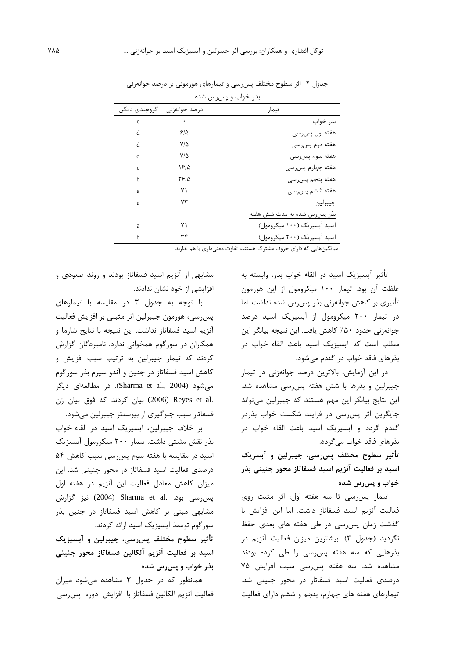| بذر خواب و پس رس شده |               |                              |  |  |  |
|----------------------|---------------|------------------------------|--|--|--|
| گروهېندي دانکن       | درصد جوانەزنى | تيمار                        |  |  |  |
| e                    | ٠             | بذر خواب                     |  |  |  |
| d                    | ۶۱۵           | هفته اول پسرسي               |  |  |  |
| d                    | ۷۱۵           | هفته دوم پسرسي               |  |  |  |
| d                    | ۷۱۵           | هفته سوم پسرسي               |  |  |  |
| $\mathbf{c}$         | 1815          | هفته چهارم پسرسی             |  |  |  |
| h                    | ۱۴۶۵          | هفته پنجم پسرسي              |  |  |  |
| a                    | ٧١            | هفته ششم پسرسی               |  |  |  |
| a                    | ۷۳            | جيبرلين                      |  |  |  |
|                      |               | بذر پس رس شده به مدت شش هفته |  |  |  |
| a                    | ۷۱            | اسید آبسیزیک (۱۰۰ میکرومول)  |  |  |  |
| h                    | ٣۴            | اسید آبسیزیک (۲۰۰ میکرومول)  |  |  |  |

جدول ۲- اثر سطوح مختلف پس رسی و تیمارهای هورمونی بر درصد جوانهزنی

میانگینهایی که دارای حروف مشترک هستند، تفاوت معنیداری با هم ندارند.

تأثیر آبسیزیک اسید در القاء خواب بذر، وابسته به غلظت آن بود. تيمار ١٠٠ ميكرومول از اين هورمون تأثیری بر کاهش جوانهزنی بذر پس رس شده نداشت. اما در تیمار ۲۰۰ میکرومول از آبسیزیک اسید درصد جوانهزنی حدود ۵۰٪ کاهش یافت. این نتیجه بیانگر این مطلب است که آبسیزیک اسید باعث القاء خواب در ىذ, هاى فاقد خواب در گندم مىشود.

در این آزمایش، بالاترین درصد جوانهزنی در تیمار جیبرلین و بذرها با شش هفته پسرسی مشاهده شد. این نتایج بیانگر این مهم هستند که جیبرلین میتواند جایگزین اثر پس رسی در فرایند شکست خواب بذردر گندم گردد و آبسیزیک اسید باعث القاء خواب در بذرهای فاقد خواب می گردد.

تأثیر سطوح مختلف پس٫سی، جیبرلین و آبسزیک اسید بر فعالیت آنزیم اسید فسفاتاز محور جنینی بذر خواب و پسرس شده

تیمار پسرسی تا سه هفته اول، اثر مثبت روی فعاليت آنزيم اسيد فسفاتاز داشت. اما اين افزايش با گذشت زمان پس رسی در طی هفته های بعدی حفظ نگردید (جدول ۳). بیشترین میزان فعالیت آنزیم در بذرهایی که سه هفته پس رسی را طی کرده بودند مشاهده شد. سه هفته پس رسی سبب افزایش ۷۵ درصدی فعالیت اسید فسفاتاز در محور جنینی شد. تیمارهای هفته های چهارم، پنجم و ششم دارای فعالیت

مشابهی از آنزیم اسید فسفاتاز بودند و روند صعودی و افزایشی از خود نشان ندادند.

با توجه به جدول ٣ در مقايسه با تيمارهاى پس رسی، هورمون جیبرلین اثر مثبتی بر افزایش فعالیت آنزیم اسید فسفاتاز نداشت. این نتیجه با نتایج شارما و همکاران در سورگوم همخوانی ندارد. نامبردگان گزارش کردند که تیمار جیبرلین به ترتیب سبب افزایش و کاهش اسید فسفاتاز در جنین و آندو سپرم بذر سورگوم میشود (Sharma et al., 2004). در مطالعهای دیگر .2006) Reyes et al) بيان كردند كه فوق بيان ژن فسفاتاز سبب جلوگیری از بیوسنتز جیبرلین میشود.

بر خلاف جيبرلين، آبسيزيک اسيد در القاء خواب بذر نقش مثبتی داشت. تیمار ۲۰۰ میکرومول آبسیزیک اسید در مقایسه با هفته سوم پس رسی سبب کاهش ۵۴ درصدی فعالیت اسید فسفاتاز در محور جنینی شد. این میزان کاهش معادل فعالیت این آنزیم در هفته اول پس رسی بود. .Sharma et al (2004) نیز گزارش مشابهی مبنی بر کاهش اسید فسفاتاز در جنین بذر سورگوم توسط آبسیزیک اسید ارائه کردند.

تأثیر سطوح مختلف پس٫سی، جیبرلین و آبسیزیک اسيد بر فعاليت آنزيم آلكالين فسفاتاز محور جنيني بذر خواب و پسرس شده

همانطور که در جدول ۳ مشاهده می شود میزان فعاليت آنزيم آلكالين فسفاتاز با افزايش دوره پسرسي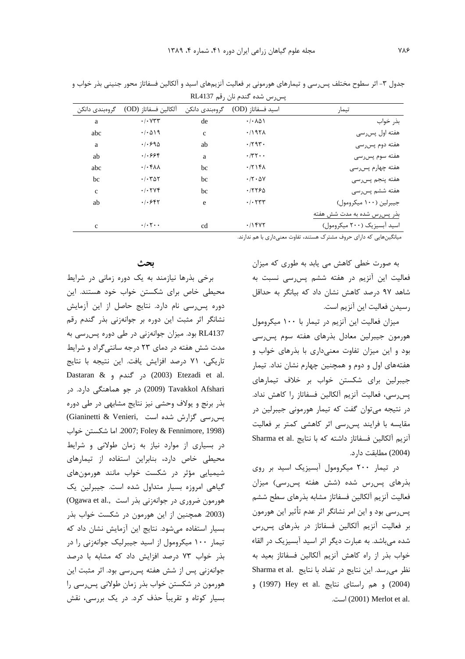| یس رس سده اسدم تان رقم ۱۸۲٬ <del>۰</del> ۰ ت |                                                    |                |                                     |                              |  |  |  |
|----------------------------------------------|----------------------------------------------------|----------------|-------------------------------------|------------------------------|--|--|--|
| گروهېندي دانکن                               | آلكالين فسفاتاز (OD)                               | گروەبندى دانكن | اسيد فسفاتاز (OD)                   | تيمار                        |  |  |  |
| a                                            | $\cdot$ / $\cdot$ $\vee$ $\vee$ $\vee$             | de             | $\cdot$ / $\cdot$ $\wedge$ $\wedge$ | بذر خواب                     |  |  |  |
| abc                                          | $\cdot$ / $\cdot$ $\wedge$ $\wedge$ $\wedge$       | $\mathbf{c}$   | $.7197\lambda$                      | هفته اول پسرسي               |  |  |  |
| a                                            | .1.990                                             | ab             | .794.                               | هفته دوم پسرسی               |  |  |  |
| ab                                           | .  .999                                            | a              | $\cdot$ /۳۲ $\cdot$ .               | هفته سوم پسرسی               |  |  |  |
| abc                                          | $\cdot$ / $\cdot$ $\uparrow$ A $\uparrow$          | bc             | .7714A                              | هفته چهارم پسرسی             |  |  |  |
| bc                                           | $\cdot$ / $\cdot$ $\uparrow$ $\uparrow$ $\uparrow$ | bc             | .77.0V                              | هفته پنجم پسرسي              |  |  |  |
| $\mathbf c$                                  | .7.7Vf                                             | bc             | .77790                              | هفته ششم پسرسی               |  |  |  |
| ab                                           | .1.889                                             | e              | $\cdot$ / $\cdot$ $\tau\tau\tau$    | جيبرلين (١٠٠ ميكرومول)       |  |  |  |
|                                              |                                                    |                |                                     | بذر پس رس شده به مدت شش هفته |  |  |  |
| $\mathbf{c}$                                 | $\cdot/\cdot \cdot$                                | cd             | $.11$ ۴۷۲                           | اسید آبسیزیک (۲۰۰ میکرومول)  |  |  |  |

جدول ۳- اثر سطوح مختلف پس رسی و تیمارهای هورمونی بر فعالیت آنزیمهای اسید و آلکالین فسفاتاز محور جنینی بذر خواب و  $PIA137 = \frac{1}{2}$ 

میانگینهایی که دارای حروف مشترک هستند، تفاوت معنیداری با هم ندارند.

به صورت خطی کاهش می یابد به طوری که میزان فعالیت این آنزیم در هفته ششم پس رسی نسبت به شاهد ۹۷ درصد کاهش نشان داد که بیانگر به حداقل رسيدن فعاليت اين آنزيم است.

میزان فعالیت این آنزیم در تیمار با ۱۰۰ میکرومول هورمون جيبرلين معادل بذرهاى هفته سوم پس رسى بود و این میزان تفاوت معنیداری با بذرهای خواب و هفتههای اول و دوم و همچنین چهارم نشان نداد. تیمار جیبرلین برای شکستن خواب بر خلاف تیمارهای يس رسي، فعاليت آنزيم آلكالين فسفاتاز را كاهش نداد. در نتیجه میتوان گفت که تیمار هورمونی جیبرلین در مقایسه با فرایند پس سی اثر کاهشی کمتر بر فعالیت آنزیم آلکالین فسفاتاز داشته که با نتایج .Sharma et al (2004) مطابقت دارد.

در تیمار ۲۰۰ میکرومول آبسیزیک اسید بر روی بذرهای پس رس شده (شش هفته پس رسی) میزان فعاليت آنزيم آلكالين فسفاتاز مشابه بذرهاى سطح ششم پسرسی بود و این امر نشانگر اثر عدم تأثیر این هورمون بر فعالیت آنزیم آلکالین فسفاتاز در بذرهای پس رس شده می باشد. به عبارت دیگر اثر اسید آبسیزیک در القاء خواب بذر از راه كاهش آنزيم آلكالين فسفاتاز بعيد به نظر می رسد. این نتایج در تضاد با نتایج Sharma et al. (2004) و هم راستای نتایج .Hey et al (1997) و .2001) Merlot et al.

### ىحث

برخی بذرها نیازمند به یک دوره زمانی در شرایط محیطی خاص برای شکستن خواب خود هستند. این دوره پس رسی نام دارد. نتایج حاصل از این آزمایش نشانگر اثر مثبت این دوره بر جوانهزنی بذر گندم رقم RL4137 بود. میزان جوانهزنی در طی دوره پس رسی به مدت شش هفته در دمای ۲۳ درجه سانتی گراد و شرایط تاريكي، ٧١ درصد افزايش يافت. اين نتيجه با نتايج Dastaran & در گندم و Dastaran & در گندم Coo9) Tavakkol Afshari (2009) در جو هماهنگی دارد. در بذر برنج و یولاف وحشی نیز نتایج مشابهی در طی دوره پس رسی گزارش شده است .Gianinetti & Venieri (2007; Foley & Fennimore, 1998). اما شكستن خواب در بسیاری از موارد نیاز به زمان طولانی و شرایط محیطی خاص دارد، بنابراین استفاده از تیمارهای شیمیایی مؤثر در شکست خواب مانند هورمونهای گیاهی امروزه بسیار متداول شده است. جیبرلین یک هورمون ضروری در جوانهزنی بذر است ..Ogawa et al (2003. همچنین از این هورمون در شکست خواب بذر بسیار استفاده می شود. نتایج این آزمایش نشان داد که تیمار ۱۰۰ میکرومول از اسید جیبرلیک جوانهزنی را در بذر خواب ٧٣ درصد افزايش داد كه مشابه با درصد جوانهزنی پس از شش هفته پس رسی بود. اثر مثبت این هورمون در شکستن خواب بذر زمان طولانی پس رسی را بسیار کوتاه و تقریباً حذف کرد. در یک بررسی، نقش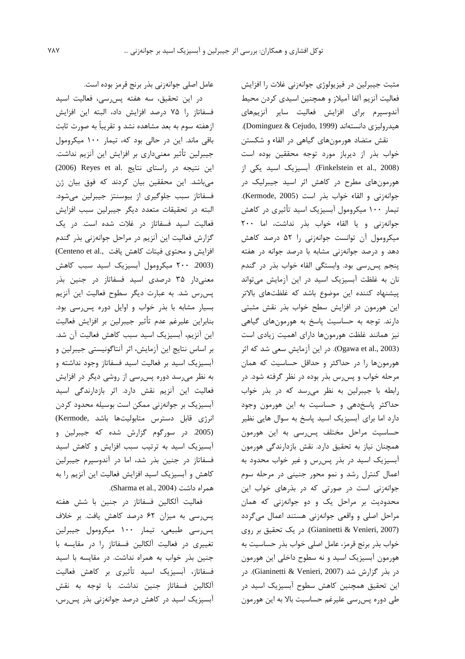مثبت جیبرلین در فیزیولوژی جوانهزنی غلات را افزایش فعالیت آنزیم آلفا آمیلاز و همچنین اسیدی کردن محیط آندوسپرم برای افزایش فعالیت سایر آنزیمهای هيدروليزي دانستهاند (Dominguez & Cejudo, 1999). نقش متضاد هورمونهای گیاهی در القاء و شکستن خواب بذر از ديرباز مورد توجه محققين بوده است (Finkelstein et al., 2008). آبسیزیک اسید یکی از هورمونهای مطرح در کاهش اثر اسید جیبرلیک در جوانهزني و القاء خواب بذر است (Kermode, 2005). تیمار ۱۰۰ میکرومول آبسیزیک اسید تأثیری در کاهش جوانهزنی و یا القاء خواب بذر نداشت، اما ٢٠٠ میکرومول آن توانست جوانهزنی را ۵۲ درصد کاهش دهد و درصد جوانهزنی مشابه با درصد جوانه در هفته پنجم پس رسی بود. وابستگی القاء خواب بذر در گندم نان به غلظت آبسیزیک اسید در این آزمایش میتواند پیشنهاد کننده این موضوع باشد که غلظتهای بالاتر این هورمون در افزایش سطح خواب بذر نقش مثبتی دارند. توجه به حساسیت پاسخ به هورمونهای گیاهی نیز همانند غلظت هورمونها دارای اهمیت زیادی است (Ogawa et al., 2003). در این آزمایش سعی شد که اثر هورمونها را در حداکثر و حداقل حساسیت که همان مرحله خواب و پس رس بذر بوده در نظر گرفته شود. در رابطه با جیبرلین به نظر می رسد که در بذر خواب حداکثر پاسخدهی و حساسیت به این هورمون وجود دارد اما برای آبسیزیک اسید پاسخ به سوال هایی نظیر حساسیت مراحل مختلف پس رسی به این هورمون همچنان نیاز به تحقیق دارد. نقش بازدارندگی هورمون آبسیزیک اسید در بذر پس رس و غیر خواب محدود به اعمال کنترل رشد و نمو محور جنینی در مرحله سوم جوانهزنی است در صورتی که در بذرهای خواب این محدودیت بر مراحل یک و دو جوانهزنی که همان مراحل اصلی و واقعی جوانهزنی هستند اعمال میگردد (Gianinetti & Venieri, 2007). در یک تحقیق بر روی خواب بذر برنج قرمز، عامل اصلی خواب بذر حساسیت به هورمون آبسیزیک اسید و نه سطوح داخلی این هورمون در بذر گزارش شد (Gianinetti & Venieri, 2007). در این تحقیق همچنین کاهش سطوح آبسیزیک اسید در طی دورہ پس رسی علیرغم حساسیت بالا به این هورمون

عامل اصلی جوانهزنی بذر برنج قرمز بوده است.

در این تحقیق، سه هفته پس رسی، فعالیت اسید فسفاتاز را ۷۵ درصد افزایش داد، البته این افزایش ازهفته سوم به بعد مشاهده نشد و تقریباً به صورت ثابت باقی ماند. این در حالی بود که، تیمار ۱۰۰ میکرومول جیبرلین تأثیر معنیداری بر افزایش این آنزیم نداشت. این نتیجه در راستای نتایج (2006) Reyes et al. میباشد. این محققین بیان کردند که فوق بیان ژن فسفاتاز سبب جلوگیری از بیوسنتز جیبرلین میشود. البته در تحقيقات متعدد ديگر جيبرلين سبب افزايش فعالیت اسید فسفاتاز در غلات شده است. در یک گزارش فعالیت این آنزیم در مراحل جوانهزنی بذر گندم (Centeno et al., افزایش و محتوی فیتات کاهش یافت) (2003. ٢٠٠ ميكرومول آبسيزيک اسيد سبب كاهش معنی دار ۳۵ درصدی اسید فسفاتاز در جنین بذر پس رس شد. به عبارت دیگر سطوح فعالیت این آنزیم بسیار مشابه با بذر خواب و اوایل دوره پس رسی بود. بنابراين عليرغم عدم تأثير جيبرلين بر افزايش فعاليت این آنزیم، آبسیزیک اسید سبب کاهش فعالیت آن شد. بر اساس نتایج این آزمایش، اثر آنتاگونیستی جیبرلین و آبسیزیک اسید بر فعالیت اسید فسفاتاز وجود نداشته و به نظر میرسد دوره پس رسی از روشی دیگر در افزایش فعالیت این آنزیم نقش دارد. اثر بازدارندگی اسید آبسیزیک بر جوانهزنی ممکن است بوسیله محدود کردن انرژی قابل دسترس متابولیتها باشد ,Kermode) (2005. در سورگوم گزارش شده که جیبرلین و آبسیزیک اسید به ترتیب سبب افزایش و کاهش اسید فسفاتاز در جنین بذر شد، اما در آندوسپرم جیبرلین کاهش و آبسیزیک اسید افزایش فعالیت این آنزیم را به همراه داشت (Sharma et al., 2004).

فعاليت آلكالين فسفاتاز در جنين با شش هفته پس رسی به میزان ۶۲ درصد کاهش یافت. بر خلاف پس رسی طبیعی، تیمار ۱۰۰ میکرومول جیبرلین تغییری در فعالیت آلکالین فسفاتاز را در مقایسه با جنین بذر خواب به همراه نداشت. در مقایسه با اسید فسفاتاز، آبسیزیک اسید تأثیری بر کاهش فعالیت آلكالين فسفاتاز جنين نداشت. با توجه به نقش آبسیزیک اسید در کاهش درصد جوانهزنی بذر پس رس،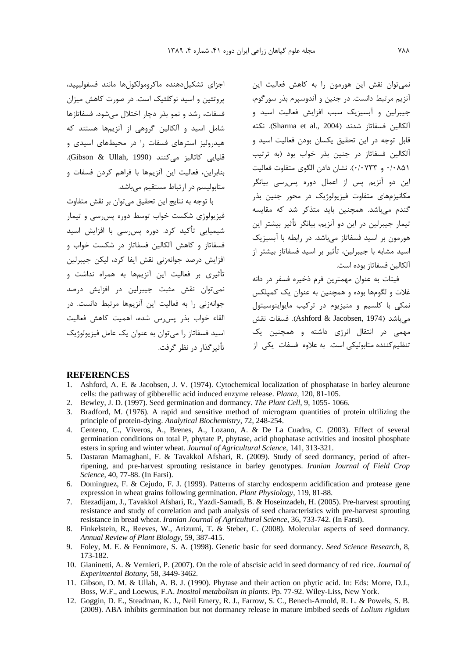.<br>نمي توان نقش اين هورمون را به كاهش فعاليت اين .<br>آنزیم مرتبط دانست. در جنین و آندوسیرم بذر سورگوم، جیبرلین و آبسیزیک سبب افزایش فعالیت اسید و .<br>آلکالین فسفاتاز شدند (Sharma et al., 2004). نکته قابل توجه در ابن تحقیق یکسان بودن فعالیت اسید و .<br>آلکالت فسفاتا: د. چنین بذر خواب بود (به ترتیب ۰/۰۸۵۱ و ۰/۰۷۳۳. نشان دادن الگوی متفاوت فعالیت .<br>این دو آنزیم بس از اعمال دوره بس مکانیزمهای متفاوت فیزیولوژیک در محور جنین بذر گندم میباشد. همچنین باید متذکر شد که مقایسه .<br>تیما، حیدلین در این دو آنزیم، بیانگر تأثیر بیشتر این هورمون بر اسید فسفاتاز میباشد. در رابطه با آبسیزیک اسيد مشابه با جيبرلين، تأثير بر اسيد فسفاتاز بيشتر از .<br>آلکالبن فسفاتا: بوده است.

فيتات به عنوان مهمتاين فام ذخياه فسفر در دانه .<br>غلات و لگومها بوده و همچنین به عنوان یک کمیلکس .<br>نمکي يا کلسيږ و منيزيوم در ترکيب مايواننوسيتول مي باشد (Ashford & Jacobsen, 1974). فسفات نقش .<br>مهمی در انتقال انر*زی* داشته و همچنین یک .<br>تنظیم کننده متابولیکی است. به علاوه فسفات یکی از

اجزای تشکیا دهنده ماکرومولکوا ها مانند فسفولییید، دوتئین و اسید نوکلئیک است. در صورت کاهش میزان .<br>د .<br>فسفات، ، شد و نمو بذر دجار اختلال مرشود. فسفاتا:ها .<br>شامل اسید و آلکالبن گروهی از آنزیهها هستند که هیدرولیز استرهای فسفات را در محیطهای اسیدی و قليايي كاتاليز ميكنند (Gibson & Ullah, 1990). بنادات، فعاليت ابن آنزيمها با فراهم كردن فسفات و متابولیسم در ارتباط مستقیم م*ی* باشد.

با توجه به نتابج ابن تحقيق مي توان بر نقش متفاوت فنزملوژی شکست خواب توسط دوره بس سی و تیمار شیمیایی تأکید کرد. دوره پس٫رسی با افزایش اسید .<br>فسفاتا: و کاهش آلکالبن فسفاتا: د. شکست خواب و افزایش درصد حوانهزنی نقش آیفا کرد، لیکن جیبرلین .<br>تأثيري بي فعاليت ابن آنزيهها به همراه نداشت و .<br>نمي ټوان - نقش - مثبت - حيبرلين - در - افزايش - درصد حوانه: ني را به فعاليت ابن آنزيمها مرتبط دانست. در القاء خواب بدر بس س. شده، اهمیت کاهش فعالیت اسید فسفاتا: ۱٫ م. توان به عنوان یک عامل فیزیولوژیک تأثير گذا، د. نظ گرفت.

#### **REFERENCES**

- 1. Ashford, A. E. & Jacobsen, J. V. (1974). Cytochemical localization of phosphatase in barley aleurone cells: the pathway of gibberellic acid induced enzyme release. *Planta*, 120, 81-105.
- 2. Bewley, J. D. (1997). Seed germination and dormancy. *The Plant Cell*, 9, 1055- 1066.
- 3. Bradford, M. (1976). A rapid and sensitive method of microgram quantities of protein ultilizing the principle of protein-dying. *Analytical Biochemistry*, 72, 248-254.
- 4. Centeno, C., Viveros, A., Brenes, A., Lozano, A. & De La Cuadra, C. (2003). Effect of several germination conditions on total P, phytate P, phytase, acid phophatase activities and inositol phosphate esters in spring and winter wheat. *Journal of Agricultural Science*, 141, 313-321.
- 5. Dastaran Mamaghani, F. & Tavakkol Afshari, R. (2009). Study of seed dormancy, period of afterripening, and pre-harvest sprouting resistance in barley genotypes. *Iranian Journal of Field Crop Science*, 40, 77-88. (In Farsi).
- 6. Dominguez, F. & Cejudo, F. J. (1999). Patterns of starchy endosperm acidification and protease gene expression in wheat grains following germination. *Plant Physiology*, 119, 81-88.
- 7. Etezadijam, J., Tavakkol Afshari, R., Yazdi-Samadi, B. & Hoseinzadeh, H. (2005). Pre-harvest sprouting resistance and study of correlation and path analysis of seed characteristics with pre-harvest sprouting resistance in bread wheat. *Iranian Journal of Agricultural Science*, 36, 733-742. (In Farsi).
- 8. Finkelstein, R., Reeves, W., Arizumi, T. & Steber, C. (2008). Molecular aspects of seed dormancy. *Annual Review of Plant Biology*, 59, 387-415.
- 9. Foley, M. E. & Fennimore, S. A. (1998). Genetic basic for seed dormancy. *Seed Science Research*, 8, 173-182.
- 10. Gianinetti, A. & Vernieri, P. (2007). On the role of abscisic acid in seed dormancy of red rice. *Journal of Experimental Botany*, 58, 3449-3462.
- 11. Gibson, D. M. & Ullah, A. B. J. (1990). Phytase and their action on phytic acid. In: Eds: Morre, D.J., Boss, W.F., and Loewus, F.A. *Inositol metabolism in plants*. Pp. 77-92. Wiley-Liss, New York.
- 12. Goggin, D. E., Steadman, K. J., Neil Emery, R. J., Farrow, S. C., Benech-Arnold, R. L. & Powels, S. B. (2009). ABA inhibits germination but not dormancy release in mature imbibed seeds of *Lolium rigidum*